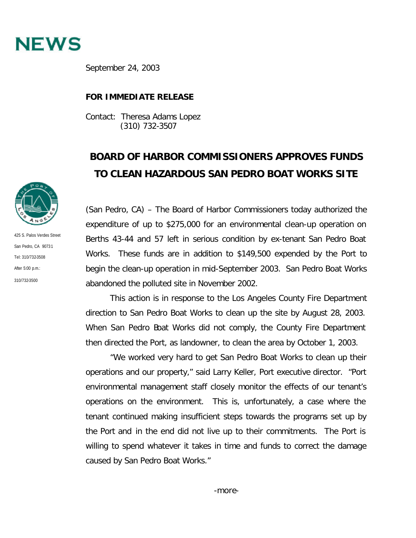

September 24, 2003

## **FOR IMMEDIATE RELEASE**

Contact: Theresa Adams Lopez (310) 732-3507

## **BOARD OF HARBOR COMMISSIONERS APPROVES FUNDS TO CLEAN HAZARDOUS SAN PEDRO BOAT WORKS SITE**

(San Pedro, CA) – The Board of Harbor Commissioners today authorized the expenditure of up to \$275,000 for an environmental clean-up operation on Berths 43-44 and 57 left in serious condition by ex-tenant San Pedro Boat Works. These funds are in addition to \$149,500 expended by the Port to begin the clean-up operation in mid-September 2003. San Pedro Boat Works abandoned the polluted site in November 2002.

This action is in response to the Los Angeles County Fire Department direction to San Pedro Boat Works to clean up the site by August 28, 2003. When San Pedro Boat Works did not comply, the County Fire Department then directed the Port, as landowner, to clean the area by October 1, 2003.

"We worked very hard to get San Pedro Boat Works to clean up their operations and our property," said Larry Keller, Port executive director. "Port environmental management staff closely monitor the effects of our tenant's operations on the environment. This is, unfortunately, a case where the tenant continued making insufficient steps towards the programs set up by the Port and in the end did not live up to their commitments. The Port is willing to spend whatever it takes in time and funds to correct the damage caused by San Pedro Boat Works."



425 S. Palos Verdes Street San Pedro, CA 90731 Tel: 310/732-3508 After 5:00 p.m.: 310/732-3500